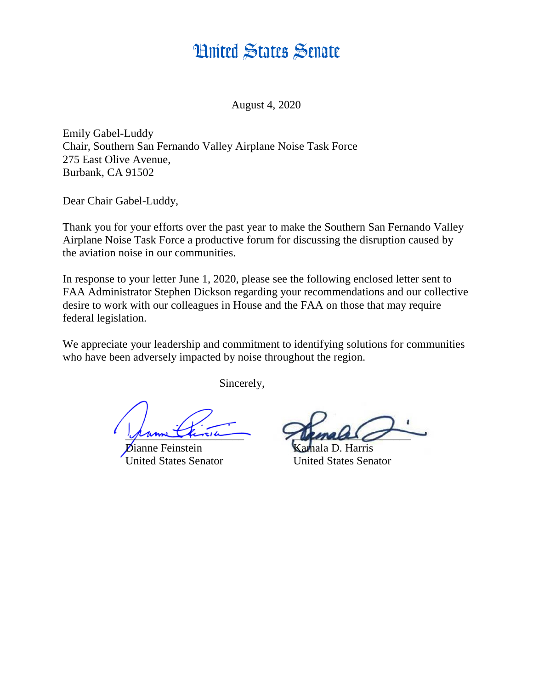## **Hnited States Senate**

August 4, 2020

Emily Gabel-Luddy Chair, Southern San Fernando Valley Airplane Noise Task Force 275 East Olive Avenue, Burbank, CA 91502

Dear Chair Gabel-Luddy,

Thank you for your efforts over the past year to make the Southern San Fernando Valley Airplane Noise Task Force a productive forum for discussing the disruption caused by the aviation noise in our communities.

In response to your letter June 1, 2020, please see the following enclosed letter sent to FAA Administrator Stephen Dickson regarding your recommendations and our collective desire to work with our colleagues in House and the FAA on those that may require federal legislation.

We appreciate your leadership and commitment to identifying solutions for communities who have been adversely impacted by noise throughout the region.

Sincerely,

nne Feinstein United States Senator United States Senator

prime this in male